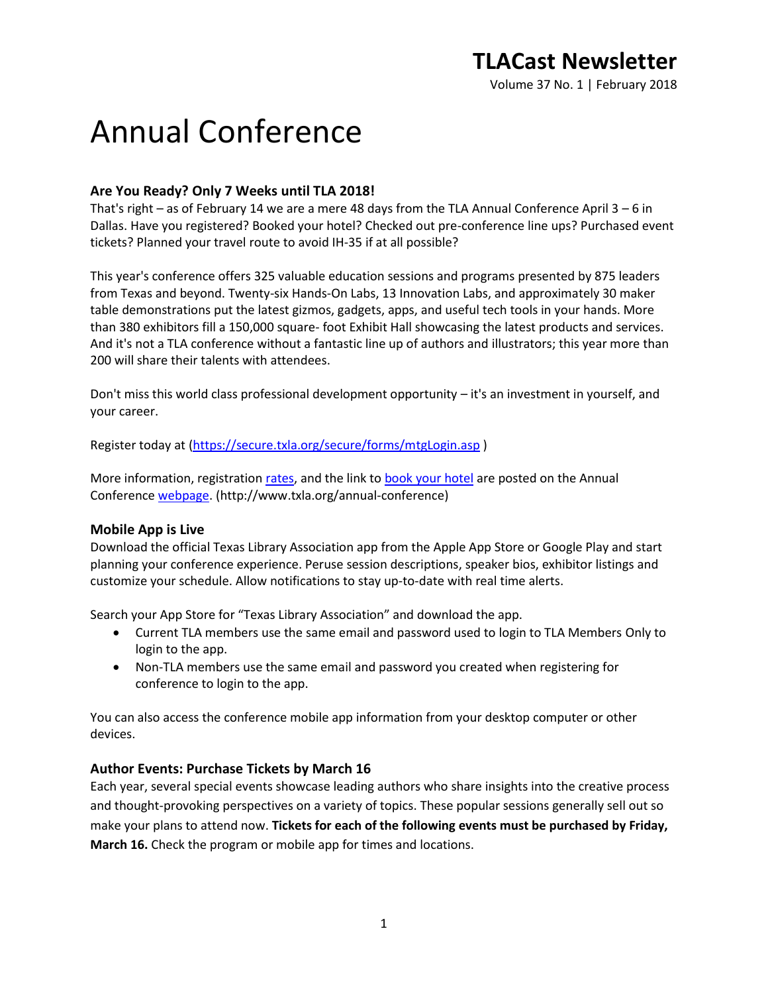Volume 37 No. 1 | February 2018

# Annual Conference

## **Are You Ready? Only 7 Weeks until TLA 2018!**

That's right – as of February 14 we are a mere 48 days from the TLA Annual Conference April 3 – 6 in Dallas. Have you registered? Booked your hotel? Checked out pre-conference line ups? Purchased event tickets? Planned your travel route to avoid IH-35 if at all possible?

This year's conference offers 325 valuable education sessions and programs presented by 875 leaders from Texas and beyond. Twenty-six Hands-On Labs, 13 Innovation Labs, and approximately 30 maker table demonstrations put the latest gizmos, gadgets, apps, and useful tech tools in your hands. More than 380 exhibitors fill a 150,000 square- foot Exhibit Hall showcasing the latest products and services. And it's not a TLA conference without a fantastic line up of authors and illustrators; this year more than 200 will share their talents with attendees.

Don't miss this world class professional development opportunity – it's an investment in yourself, and your career.

Register today at [\(https://secure.txla.org/secure/forms/mtgLogin.asp](https://secure.txla.org/secure/forms/mtgLogin.asp) )

More information, registration [rates,](http://www.txla.org/sites/tla/files/Dallas%202018%20Reg%20Rates.pdf) and the link to [book your hotel](https://compass.onpeak.com/e/62TLA18/0) are posted on the Annual Conference [webpage.](http://www.txla.org/annual-conference) (http://www.txla.org/annual-conference)

### **Mobile App is Live**

Download the official Texas Library Association app from the Apple App Store or Google Play and start planning your conference experience. Peruse session descriptions, speaker bios, exhibitor listings and customize your schedule. Allow notifications to stay up-to-date with real time alerts.

Search your App Store for "Texas Library Association" and download the app.

- Current TLA members use the same email and password used to login to TLA Members Only to login to the app.
- Non-TLA members use the same email and password you created when registering for conference to login to the app.

You can also access the conference mobile app information from your desktop computer or other devices.

### **Author Events: Purchase Tickets by March 16**

Each year, several special events showcase leading authors who share insights into the creative process and thought-provoking perspectives on a variety of topics. These popular sessions generally sell out so make your plans to attend now. **Tickets for each of the following events must be purchased by Friday, March 16.** Check the program or mobile app for times and locations.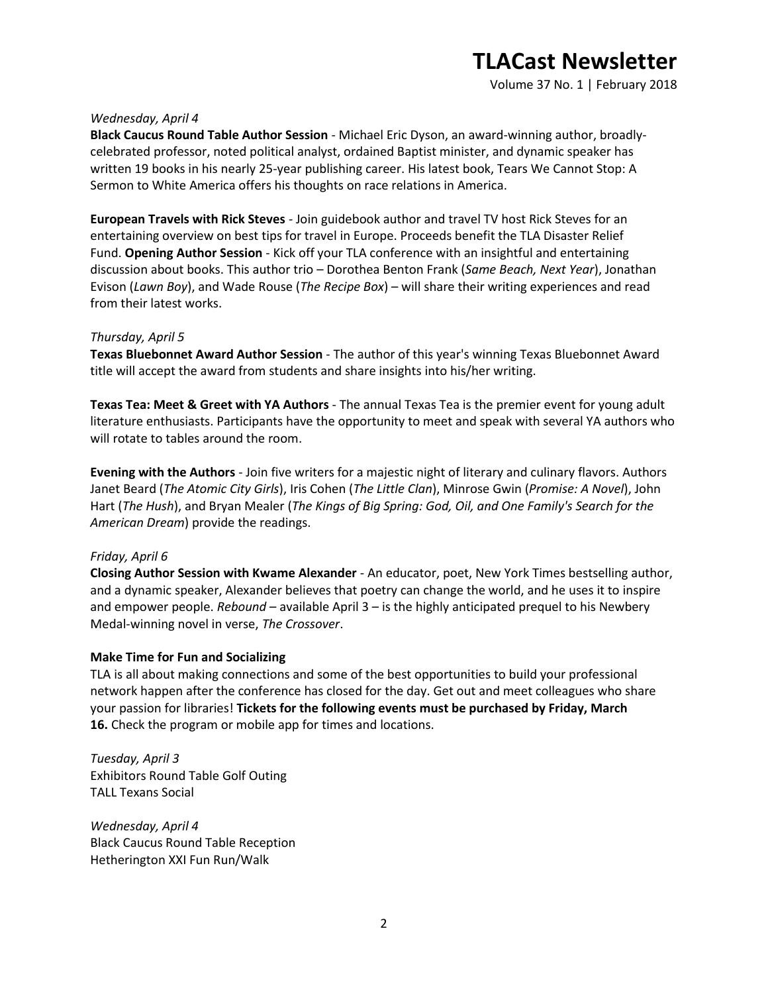Volume 37 No. 1 | February 2018

#### *Wednesday, April 4*

**Black Caucus Round Table Author Session** - Michael Eric Dyson, an award-winning author, broadlycelebrated professor, noted political analyst, ordained Baptist minister, and dynamic speaker has written 19 books in his nearly 25-year publishing career. His latest book, Tears We Cannot Stop: A Sermon to White America offers his thoughts on race relations in America.

**European Travels with Rick Steves** - Join guidebook author and travel TV host Rick Steves for an entertaining overview on best tips for travel in Europe. Proceeds benefit the TLA Disaster Relief Fund. **Opening Author Session** - Kick off your TLA conference with an insightful and entertaining discussion about books. This author trio – Dorothea Benton Frank (*Same Beach, Next Year*), Jonathan Evison (*Lawn Boy*), and Wade Rouse (*The Recipe Box*) – will share their writing experiences and read from their latest works.

#### *Thursday, April 5*

**Texas Bluebonnet Award Author Session** - The author of this year's winning Texas Bluebonnet Award title will accept the award from students and share insights into his/her writing.

**Texas Tea: Meet & Greet with YA Authors** - The annual Texas Tea is the premier event for young adult literature enthusiasts. Participants have the opportunity to meet and speak with several YA authors who will rotate to tables around the room.

**Evening with the Authors** - Join five writers for a majestic night of literary and culinary flavors. Authors Janet Beard (*The Atomic City Girls*), Iris Cohen (*The Little Clan*), Minrose Gwin (*Promise: A Novel*), John Hart (*The Hush*), and Bryan Mealer (*The Kings of Big Spring: God, Oil, and One Family's Search for the American Dream*) provide the readings.

#### *Friday, April 6*

**Closing Author Session with Kwame Alexander** - An educator, poet, New York Times bestselling author, and a dynamic speaker, Alexander believes that poetry can change the world, and he uses it to inspire and empower people. *Rebound* – available April 3 – is the highly anticipated prequel to his Newbery Medal-winning novel in verse, *The Crossover*.

#### **Make Time for Fun and Socializing**

TLA is all about making connections and some of the best opportunities to build your professional network happen after the conference has closed for the day. Get out and meet colleagues who share your passion for libraries! **Tickets for the following events must be purchased by Friday, March 16.** Check the program or mobile app for times and locations.

*Tuesday, April 3* Exhibitors Round Table Golf Outing TALL Texans Social

*Wednesday, April 4* Black Caucus Round Table Reception Hetherington XXI Fun Run/Walk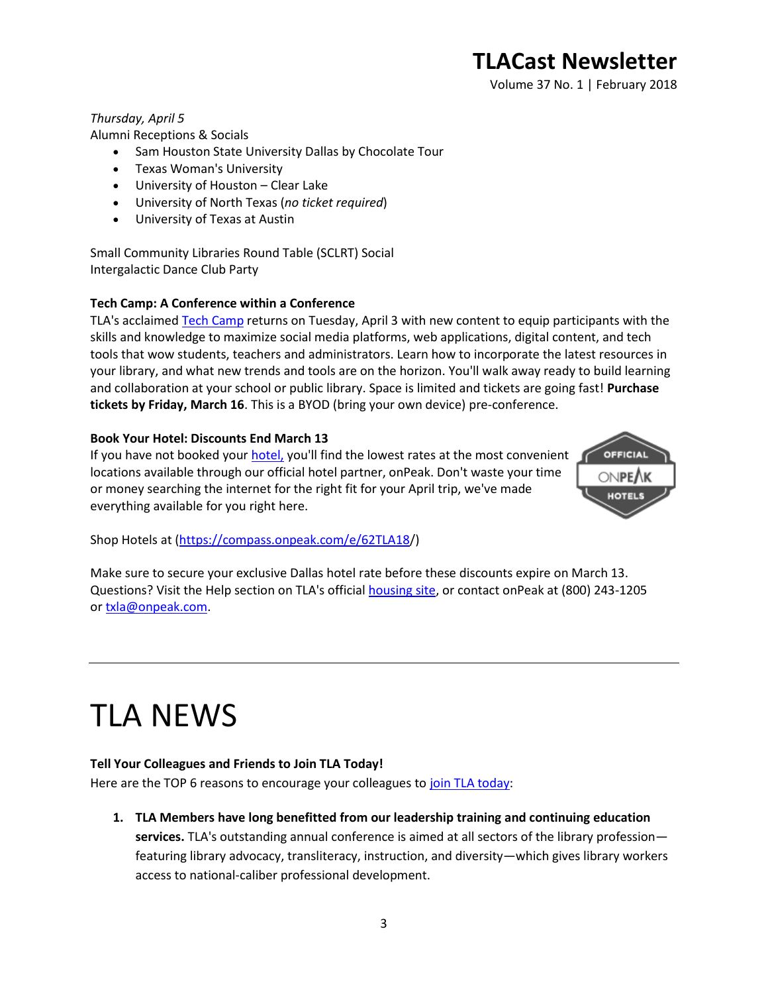Volume 37 No. 1 | February 2018

*Thursday, April 5*

Alumni Receptions & Socials

- Sam Houston State University Dallas by Chocolate Tour
- Texas Woman's University
- University of Houston Clear Lake
- University of North Texas (*no ticket required*)
- University of Texas at Austin

Small Community Libraries Round Table (SCLRT) Social Intergalactic Dance Club Party

#### **Tech Camp: A Conference within a Conference**

TLA's acclaimed [Tech Camp](http://www.txla.org/tech-camp) returns on Tuesday, April 3 with new content to equip participants with the skills and knowledge to maximize social media platforms, web applications, digital content, and tech tools that wow students, teachers and administrators. Learn how to incorporate the latest resources in your library, and what new trends and tools are on the horizon. You'll walk away ready to build learning and collaboration at your school or public library. Space is limited and tickets are going fast! **Purchase tickets by Friday, March 16**. This is a BYOD (bring your own device) pre-conference.

#### **Book Your Hotel: Discounts End March 13**

If you have not booked your [hotel,](https://compass.onpeak.com/e/62TLA18/) you'll find the lowest rates at the most convenient locations available through our official hotel partner, onPeak. Don't waste your time or money searching the internet for the right fit for your April trip, we've made everything available for you right here.



Shop Hotels at [\(https://compass.onpeak.com/e/62TLA18/](https://compass.onpeak.com/e/62TLA18))

Make sure to secure your exclusive Dallas hotel rate before these discounts expire on March 13. Questions? Visit the Help section on TLA's official [housing site,](https://compass.onpeak.com/e/62TLA18/) or contact onPeak at (800) 243-1205 or [txla@onpeak.com.](mailto:txla@onpeak.com)

# TLA NEWS

#### **Tell Your Colleagues and Friends to Join TLA Today!**

Here are the TOP 6 reasons to encourage your colleagues t[o join TLA today:](http://www.txla.org/join)

**1. TLA Members have long benefitted from our leadership training and continuing education services.** TLA's outstanding annual conference is aimed at all sectors of the library profession featuring library advocacy, transliteracy, instruction, and diversity—which gives library workers access to national-caliber professional development.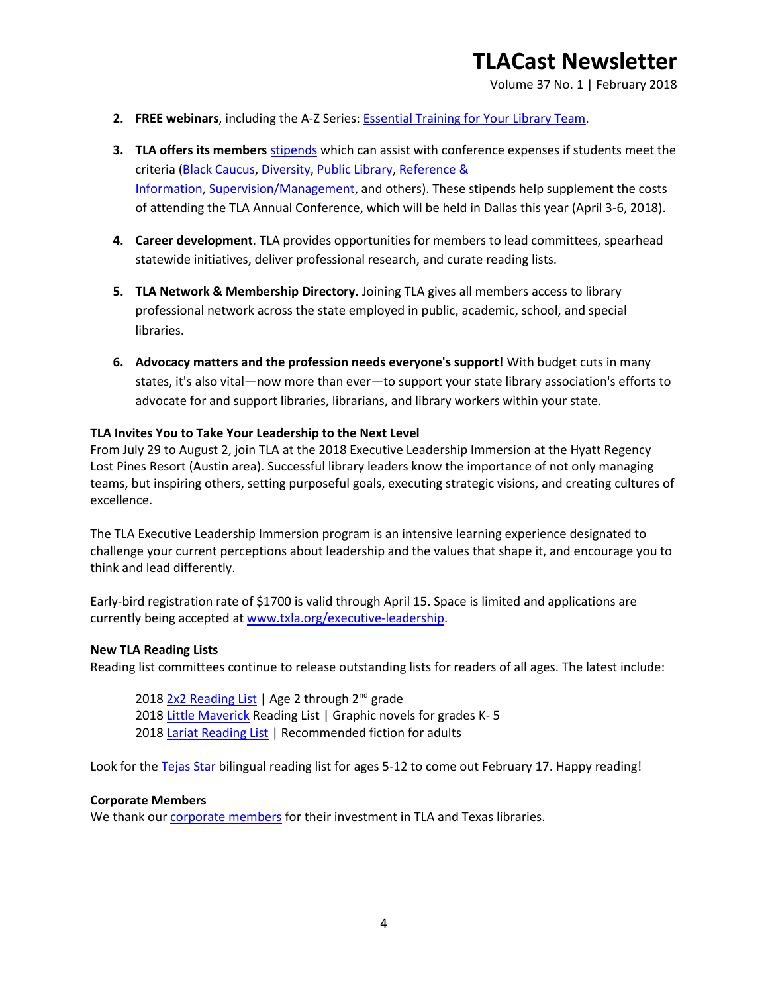Volume 37 No. 1 | February 2018

- **2. FREE webinars**, including the A-Z Series: [Essential Training for Your Library Team.](http://www.txla.org/CE-AZ)
- **3. TLA offers its members** [stipends](http://www.txla.org/awards) which can assist with conference expenses if students meet the criteria [\(Black Caucus,](http://www.txla.org/groups/bcrt-scholarships) [Diversity,](http://www.txla.org/JLG-Diversity-Stipends) [Public Library,](http://www.txla.org/groups/pld-stipends) [Reference &](http://www.txla.org/groups/risrt-stipend)  [Information,](http://www.txla.org/groups/risrt-stipend) [Supervision/Management,](http://www.txla.org/groups/smart) and others). These stipends help supplement the costs of attending the TLA Annual Conference, which will be held in Dallas this year (April 3-6, 2018).
- **4. Career development**. TLA provides opportunities for members to lead committees, spearhead statewide initiatives, deliver professional research, and curate reading lists.
- **5. TLA Network & Membership Directory.** Joining TLA gives all members access to library professional network across the state employed in public, academic, school, and special libraries.
- **6. Advocacy matters and the profession needs everyone's support!** With budget cuts in many states, it's also vital—now more than ever—to support your state library association's efforts to advocate for and support libraries, librarians, and library workers within your state.

#### **TLA Invites You to Take Your Leadership to the Next Level**

From July 29 to August 2, join TLA at the 2018 Executive Leadership Immersion at the Hyatt Regency Lost Pines Resort (Austin area). Successful library leaders know the importance of not only managing teams, but inspiring others, setting purposeful goals, executing strategic visions, and creating cultures of excellence.

The TLA Executive Leadership Immersion program is an intensive learning experience designated to challenge your current perceptions about leadership and the values that shape it, and encourage you to think and lead differently.

Early-bird registration rate of \$1700 is valid through April 15. Space is limited and applications are currently being accepted at [www.txla.org/executive-leadership.](http://www.txla.org/executive-leadership)

#### **New TLA Reading Lists**

Reading list committees continue to release outstanding lists for readers of all ages. The latest include:

2018 2x2 [Reading List](http://www.txla.org/groups/2x2-current) | Age 2 through 2<sup>nd</sup> grade 2018 [Little Maverick](http://www.txla.org/groups/little-maverick-graphic-novel-reading-list) Reading List | Graphic novels for grades K-5 2018 Lariat [Reading List](http://www.txla.org/Lariat) | Recommended fiction for adults

Look for th[e Tejas Star](http://www.txla.org/tejas-star) bilingual reading list for ages 5-12 to come out February 17. Happy reading!

#### **Corporate Members**

We thank our [corporate members](http://www.txla.org/cm) for their investment in TLA and Texas libraries.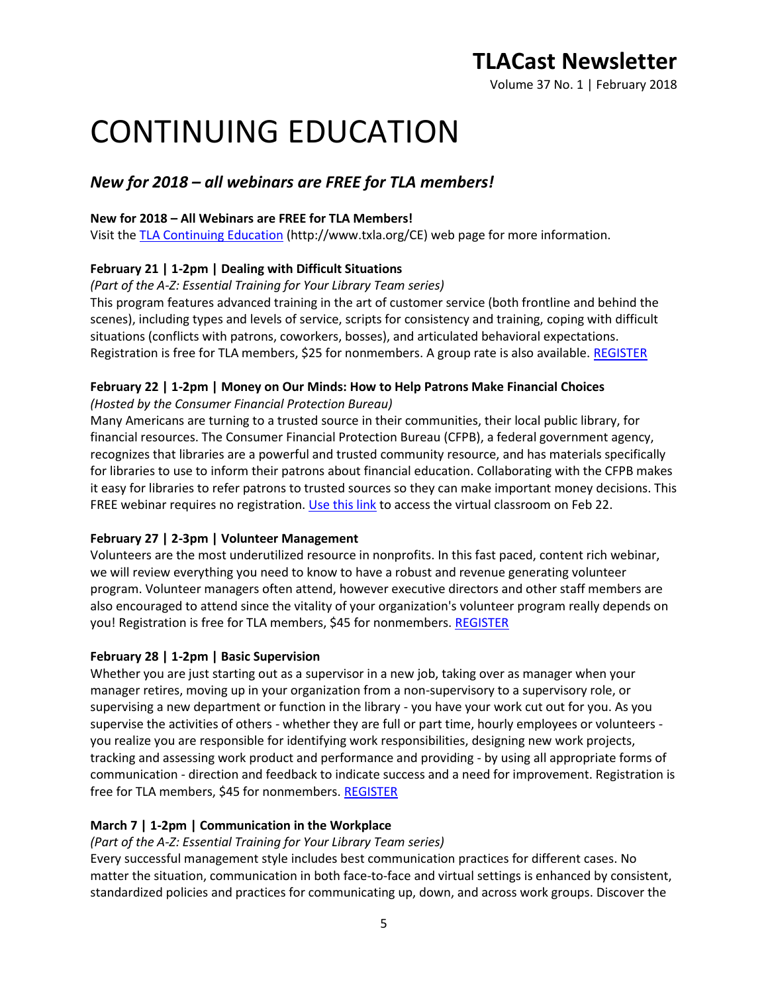Volume 37 No. 1 | February 2018

# CONTINUING EDUCATION

# *New for 2018 – all webinars are FREE for TLA members!*

## **New for 2018 – All Webinars are FREE for TLA Members!**

Visit the [TLA Continuing Education](http://www.txla.org/CE) (http://www.txla.org/CE) web page for more information.

## **February 21 | 1-2pm | Dealing with Difficult Situations**

*(Part of the A-Z: Essential Training for Your Library Team series)*

This program features advanced training in the art of customer service (both frontline and behind the scenes), including types and levels of service, scripts for consistency and training, coping with difficult situations (conflicts with patrons, coworkers, bosses), and articulated behavioral expectations. Registration is free for TLA members, \$25 for nonmembers. A group rate is also available. [REGISTER](https://secure.txla.org/secure/forms/mtgLogin.asp)

# **February 22 | 1-2pm | Money on Our Minds: How to Help Patrons Make Financial Choices**

*(Hosted by the Consumer Financial Protection Bureau)*

Many Americans are turning to a trusted source in their communities, their local public library, for financial resources. The Consumer Financial Protection Bureau (CFPB), a federal government agency, recognizes that libraries are a powerful and trusted community resource, and has materials specifically for libraries to use to inform their patrons about financial education. Collaborating with the CFPB makes it easy for libraries to refer patrons to trusted sources so they can make important money decisions. This FREE webinar requires no registration. [Use this link](https://www.mymeetings.com/emeet/join/index.jsp?customHeader=mymeetings&netId=PWXW6738308&netPass=7758404&netType=conference&acceptTerms=on) to access the virtual classroom on Feb 22.

### **February 27 | 2-3pm | Volunteer Management**

Volunteers are the most underutilized resource in nonprofits. In this fast paced, content rich webinar, we will review everything you need to know to have a robust and revenue generating volunteer program. Volunteer managers often attend, however executive directors and other staff members are also encouraged to attend since the vitality of your organization's volunteer program really depends on you! Registration is free for TLA members, \$45 for nonmembers. [REGISTER](https://secure.txla.org/secure/forms/mtgLogin.asp)

### **February 28 | 1-2pm | Basic Supervision**

Whether you are just starting out as a supervisor in a new job, taking over as manager when your manager retires, moving up in your organization from a non-supervisory to a supervisory role, or supervising a new department or function in the library - you have your work cut out for you. As you supervise the activities of others - whether they are full or part time, hourly employees or volunteers you realize you are responsible for identifying work responsibilities, designing new work projects, tracking and assessing work product and performance and providing - by using all appropriate forms of communication - direction and feedback to indicate success and a need for improvement. Registration is free for TLA members, \$45 for nonmembers. [REGISTER](https://secure.txla.org/secure/forms/mtgLogin.asp)

# **March 7 | 1-2pm | Communication in the Workplace**

### *(Part of the A-Z: Essential Training for Your Library Team series)*

Every successful management style includes best communication practices for different cases. No matter the situation, communication in both face-to-face and virtual settings is enhanced by consistent, standardized policies and practices for communicating up, down, and across work groups. Discover the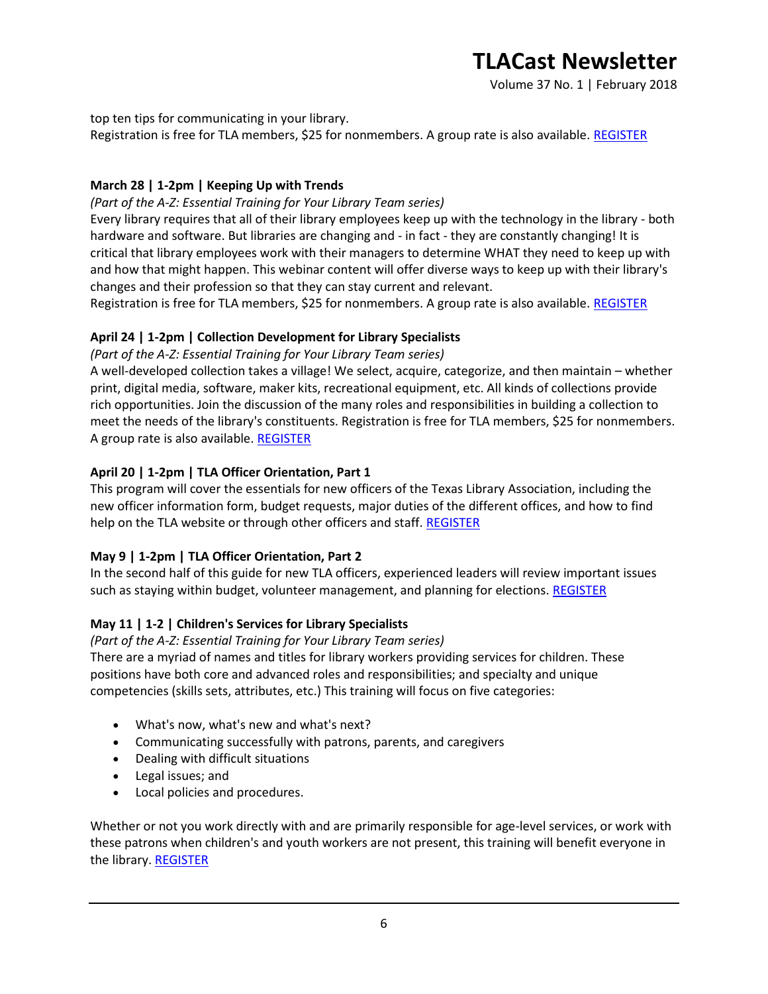Volume 37 No. 1 | February 2018

top ten tips for communicating in your library.

Registration is free for TLA members, \$25 for nonmembers. A group rate is also available. [REGISTER](https://secure.txla.org/secure/forms/mtgLogin.asp)

### **March 28 | 1-2pm | Keeping Up with Trends**

#### *(Part of the A-Z: Essential Training for Your Library Team series)*

Every library requires that all of their library employees keep up with the technology in the library - both hardware and software. But libraries are changing and - in fact - they are constantly changing! It is critical that library employees work with their managers to determine WHAT they need to keep up with and how that might happen. This webinar content will offer diverse ways to keep up with their library's changes and their profession so that they can stay current and relevant.

Registration is free for TLA members, \$25 for nonmembers. A group rate is also available. [REGISTER](https://secure.txla.org/secure/forms/mtgLogin.asp)

## **April 24 | 1-2pm | Collection Development for Library Specialists**

### *(Part of the A-Z: Essential Training for Your Library Team series)*

A well-developed collection takes a village! We select, acquire, categorize, and then maintain – whether print, digital media, software, maker kits, recreational equipment, etc. All kinds of collections provide rich opportunities. Join the discussion of the many roles and responsibilities in building a collection to meet the needs of the library's constituents. Registration is free for TLA members, \$25 for nonmembers. A group rate is also available. [REGISTER](https://secure.txla.org/secure/forms/mtgLogin.asp)

## **April 20 | 1-2pm | TLA Officer Orientation, Part 1**

This program will cover the essentials for new officers of the Texas Library Association, including the new officer information form, budget requests, major duties of the different offices, and how to find help on the TLA website or through other officers and staff. [REGISTER](https://secure.txla.org/secure/forms/mtgLogin.asp)

### **May 9 | 1-2pm | TLA Officer Orientation, Part 2**

In the second half of this guide for new TLA officers, experienced leaders will review important issues such as staying within budget, volunteer management, and planning for elections. [REGISTER](https://secure.txla.org/secure/forms/mtgLogin.asp)

### **May 11 | 1-2 | Children's Services for Library Specialists**

*(Part of the A-Z: Essential Training for Your Library Team series)*

There are a myriad of names and titles for library workers providing services for children. These positions have both core and advanced roles and responsibilities; and specialty and unique competencies (skills sets, attributes, etc.) This training will focus on five categories:

- What's now, what's new and what's next?
- Communicating successfully with patrons, parents, and caregivers
- Dealing with difficult situations
- Legal issues; and
- Local policies and procedures.

Whether or not you work directly with and are primarily responsible for age-level services, or work with these patrons when children's and youth workers are not present, this training will benefit everyone in the library. [REGISTER](https://secure.txla.org/secure/forms/mtgLogin.asp)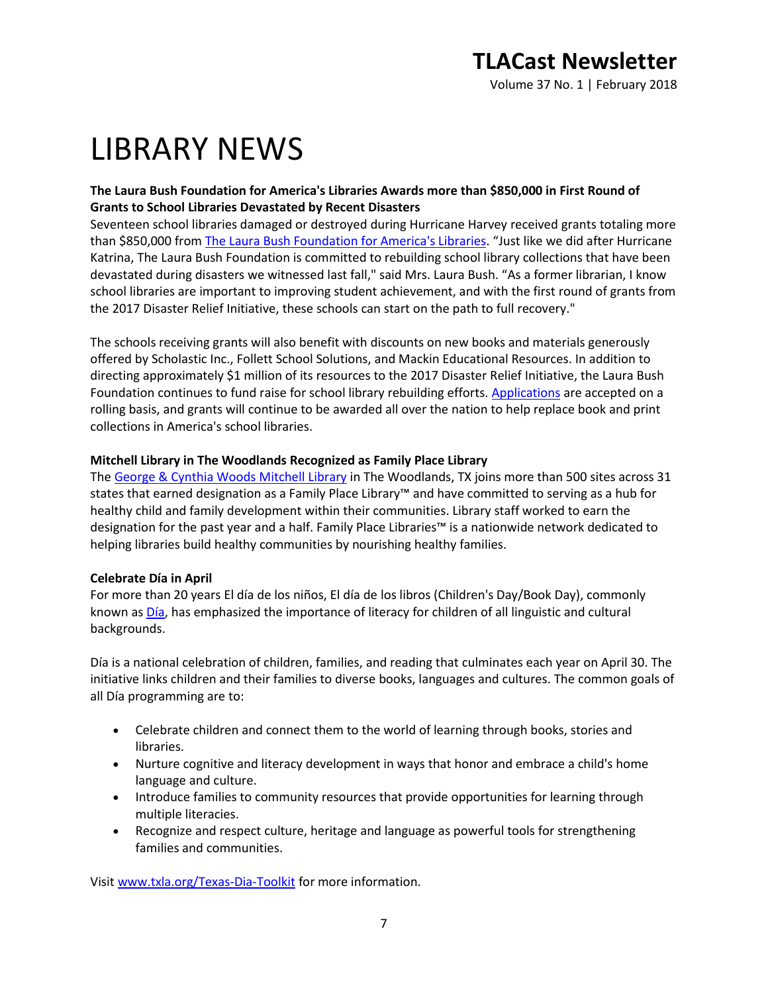# LIBRARY NEWS

### **The Laura Bush Foundation for America's Libraries Awards more than \$850,000 in First Round of Grants to School Libraries Devastated by Recent Disasters**

Seventeen school libraries damaged or destroyed during Hurricane Harvey received grants totaling more than \$850,000 from [The Laura Bush Foundation for America's Libraries](http://www.laurabushfoundation.com/news/feed/lbf-awards-more-than-850000-in-first-round-of-grants-to-school-libraries-devastated-by-recent-disasters.html). "Just like we did after Hurricane Katrina, The Laura Bush Foundation is committed to rebuilding school library collections that have been devastated during disasters we witnessed last fall," said Mrs. Laura Bush. "As a former librarian, I know school libraries are important to improving student achievement, and with the first round of grants from the 2017 Disaster Relief Initiative, these schools can start on the path to full recovery."

The schools receiving grants will also benefit with discounts on new books and materials generously offered by Scholastic Inc., Follett School Solutions, and Mackin Educational Resources. In addition to directing approximately \$1 million of its resources to the 2017 Disaster Relief Initiative, the Laura Bush Foundation continues to fund raise for school library rebuilding efforts. [Applications](http://www.laurabushfoundation.com/) are accepted on a rolling basis, and grants will continue to be awarded all over the nation to help replace book and print collections in America's school libraries.

#### **Mitchell Library in The Woodlands Recognized as Family Place Library**

The [George & Cynthia Woods Mitchell Library](https://www.woodlandsonline.com/npps/story.cfm?nppage=60333) in The Woodlands, TX joins more than 500 sites across 31 states that earned designation as a Family Place Library™ and have committed to serving as a hub for healthy child and family development within their communities. Library staff worked to earn the designation for the past year and a half. Family Place Libraries™ is a nationwide network dedicated to helping libraries build healthy communities by nourishing healthy families.

#### **Celebrate Día in April**

For more than 20 years El día de los niños, El día de los libros (Children's Day/Book Day), commonly known as *Día*, has emphasized the importance of literacy for children of all linguistic and cultural backgrounds.

Día is a national celebration of children, families, and reading that culminates each year on April 30. The initiative links children and their families to diverse books, languages and cultures. The common goals of all Día programming are to:

- Celebrate children and connect them to the world of learning through books, stories and libraries.
- Nurture cognitive and literacy development in ways that honor and embrace a child's home language and culture.
- Introduce families to community resources that provide opportunities for learning through multiple literacies.
- Recognize and respect culture, heritage and language as powerful tools for strengthening families and communities.

Visit [www.txla.org/Texas-Dia-Toolkit](http://www.txla.org/Texas-Dia-Toolkit) for more information.